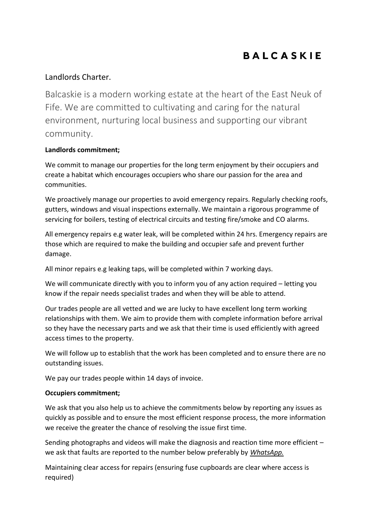# **BALCASKIE**

## Landlords Charter.

Balcaskie is a modern working estate at the heart of the East Neuk of Fife. We are committed to cultivating and caring for the natural environment, nurturing local business and supporting our vibrant community.

## **Landlords commitment;**

We commit to manage our properties for the long term enjoyment by their occupiers and create a habitat which encourages occupiers who share our passion for the area and communities.

We proactively manage our properties to avoid emergency repairs. Regularly checking roofs, gutters, windows and visual inspections externally. We maintain a rigorous programme of servicing for boilers, testing of electrical circuits and testing fire/smoke and CO alarms.

All emergency repairs e.g water leak, will be completed within 24 hrs. Emergency repairs are those which are required to make the building and occupier safe and prevent further damage.

All minor repairs e.g leaking taps, will be completed within 7 working days.

We will communicate directly with you to inform you of any action required – letting you know if the repair needs specialist trades and when they will be able to attend.

Our trades people are all vetted and we are lucky to have excellent long term working relationships with them. We aim to provide them with complete information before arrival so they have the necessary parts and we ask that their time is used efficiently with agreed access times to the property.

We will follow up to establish that the work has been completed and to ensure there are no outstanding issues.

We pay our trades people within 14 days of invoice.

### **Occupiers commitment;**

We ask that you also help us to achieve the commitments below by reporting any issues as quickly as possible and to ensure the most efficient response process, the more information we receive the greater the chance of resolving the issue first time.

Sending photographs and videos will make the diagnosis and reaction time more efficient – we ask that faults are reported to the number below preferably by *WhatsApp.* 

Maintaining clear access for repairs (ensuring fuse cupboards are clear where access is required)